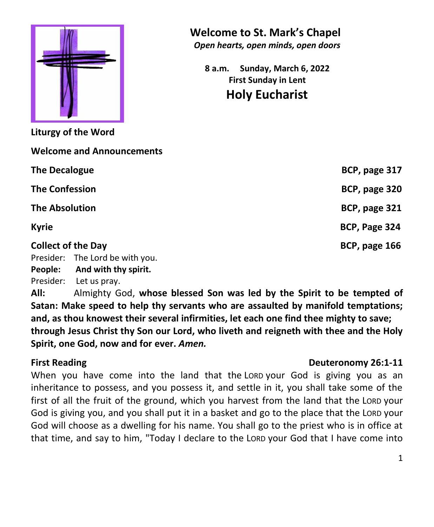

**Liturgy of the Word**

**Welcome and Announcements**

 **Welcome to St. Mark's Chapel**

*Open hearts, open minds, open doors*

**8 a.m. Sunday, March 6, 2022 First Sunday in Lent Holy Eucharist**

| BCP, page 317 |
|---------------|
| BCP, page 320 |
| BCP, page 321 |
| BCP, Page 324 |
| BCP, page 166 |
|               |
|               |
|               |

Presider: Let us pray.

**All:** Almighty God, **whose blessed Son was led by the Spirit to be tempted of Satan: Make speed to help thy servants who are assaulted by manifold temptations; and, as thou knowest their several infirmities, let each one find thee mighty to save; through Jesus Christ thy Son our Lord, who liveth and reigneth with thee and the Holy Spirit, one God, now and for ever.** *Amen.*

## **First Reading Deuteronomy 26:1-11**

When you have come into the land that the LORD your God is giving you as an inheritance to possess, and you possess it, and settle in it, you shall take some of the first of all the fruit of the ground, which you harvest from the land that the LORD your God is giving you, and you shall put it in a basket and go to the place that the LORD your God will choose as a dwelling for his name. You shall go to the priest who is in office at that time, and say to him, "Today I declare to the LORD your God that I have come into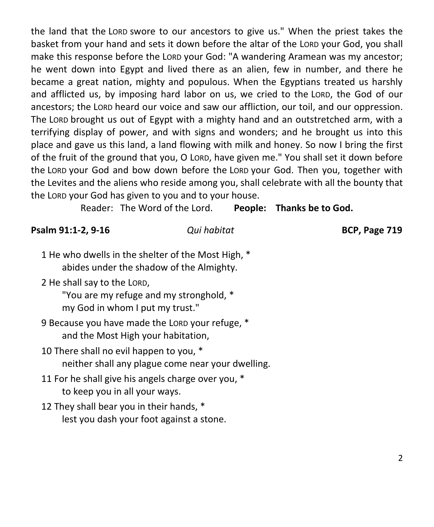the land that the LORD swore to our ancestors to give us." When the priest takes the basket from your hand and sets it down before the altar of the LORD your God, you shall make this response before the LORD your God: "A wandering Aramean was my ancestor; he went down into Egypt and lived there as an alien, few in number, and there he became a great nation, mighty and populous. When the Egyptians treated us harshly and afflicted us, by imposing hard labor on us, we cried to the LORD, the God of our ancestors; the LORD heard our voice and saw our affliction, our toil, and our oppression. The LORD brought us out of Egypt with a mighty hand and an outstretched arm, with a terrifying display of power, and with signs and wonders; and he brought us into this place and gave us this land, a land flowing with milk and honey. So now I bring the first of the fruit of the ground that you, O LORD, have given me." You shall set it down before the LORD your God and bow down before the LORD your God. Then you, together with the Levites and the aliens who reside among you, shall celebrate with all the bounty that the LORD your God has given to you and to your house.

Reader: The Word of the Lord. **People: Thanks be to God.**

**Psalm 91:1-2, 9-16** *Qui habitat* **BCP, Page 719**

- 1 He who dwells in the shelter of the Most High, \* abides under the shadow of the Almighty.
- 2 He shall say to the LORD,

"You are my refuge and my stronghold, \* my God in whom I put my trust."

9 Because you have made the LORD your refuge, \* and the Most High your habitation,

- 10 There shall no evil happen to you, \* neither shall any plague come near your dwelling.
- 11 For he shall give his angels charge over you, \* to keep you in all your ways.
- 12 They shall bear you in their hands, \* lest you dash your foot against a stone.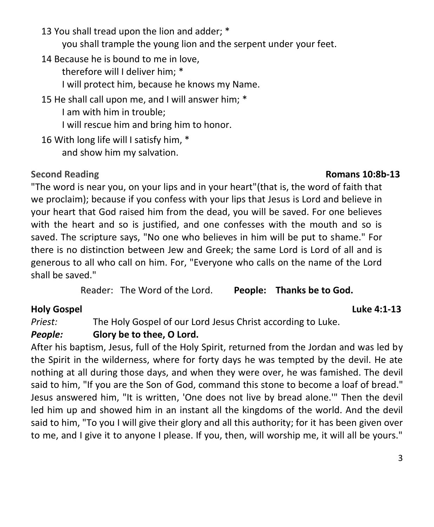- 13 You shall tread upon the lion and adder; \* you shall trample the young lion and the serpent under your feet.
- 14 Because he is bound to me in love,

therefore will I deliver him; \*

I will protect him, because he knows my Name.

15 He shall call upon me, and I will answer him; \*

I am with him in trouble;

I will rescue him and bring him to honor.

16 With long life will I satisfy him, \*

and show him my salvation.

**Second Reading Romans 10:8b-13**

"The word is near you, on your lips and in your heart"(that is, the word of faith that we proclaim); because if you confess with your lips that Jesus is Lord and believe in your heart that God raised him from the dead, you will be saved. For one believes with the heart and so is justified, and one confesses with the mouth and so is saved. The scripture says, "No one who believes in him will be put to shame." For there is no distinction between Jew and Greek; the same Lord is Lord of all and is generous to all who call on him. For, "Everyone who calls on the name of the Lord shall be saved."

Reader: The Word of the Lord. **People: Thanks be to God.**

# **Holy Gospel Luke 4:1-13**

*Priest:* The Holy Gospel of our Lord Jesus Christ according to Luke.

# *People:* **Glory be to thee, O Lord.**

After his baptism, Jesus, full of the Holy Spirit, returned from the Jordan and was led by the Spirit in the wilderness, where for forty days he was tempted by the devil. He ate nothing at all during those days, and when they were over, he was famished. The devil said to him, "If you are the Son of God, command this stone to become a loaf of bread." Jesus answered him, "It is written, 'One does not live by bread alone.'" Then the devil led him up and showed him in an instant all the kingdoms of the world. And the devil said to him, "To you I will give their glory and all this authority; for it has been given over to me, and I give it to anyone I please. If you, then, will worship me, it will all be yours."